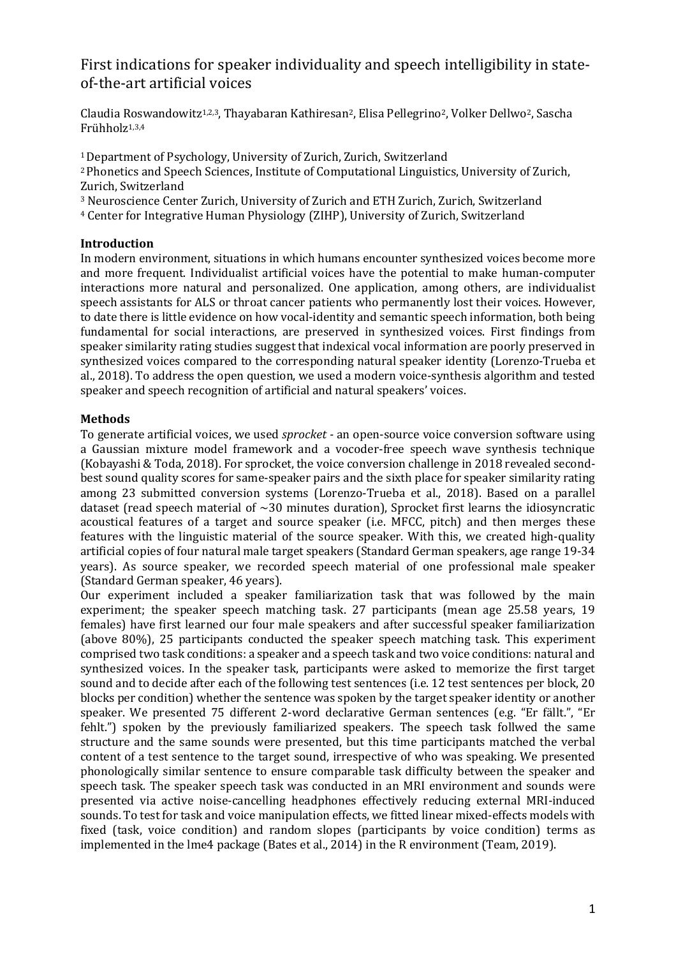# First indications for speaker individuality and speech intelligibility in stateof-the-art artificial voices

Claudia Roswandowitz<sup>1,2,3</sup>, Thayabaran Kathiresan<sup>2</sup>, Elisa Pellegrino<sup>2</sup>, Volker Dellwo<sup>2</sup>, Sascha Frühholz<sup>1,3,4</sup>

<sup>1</sup> Department of Psychology, University of Zurich, Zurich, Switzerland

<sup>2</sup> Phonetics and Speech Sciences, Institute of Computational Linguistics, University of Zurich, Zurich, Switzerland

<sup>3</sup> Neuroscience Center Zurich, University of Zurich and ETH Zurich, Zurich, Switzerland

<sup>4</sup> Center for Integrative Human Physiology (ZIHP), University of Zurich, Switzerland

# **Introduction**

In modern environment, situations in which humans encounter synthesized voices become more and more frequent. Individualist artificial voices have the potential to make human-computer interactions more natural and personalized. One application, among others, are individualist speech assistants for ALS or throat cancer patients who permanently lost their voices. However, to date there is little evidence on how vocal-identity and semantic speech information, both being fundamental for social interactions, are preserved in synthesized voices. First findings from speaker similarity rating studies suggest that indexical vocal information are poorly preserved in synthesized voices compared to the corresponding natural speaker identity (Lorenzo-Trueba et al., 2018). To address the open question, we used a modern voice-synthesis algorithm and tested speaker and speech recognition of artificial and natural speakers' voices.

## **Methods**

To generate artificial voices, we used *sprocket -* an open-source voice conversion software using a Gaussian mixture model framework and a vocoder-free speech wave synthesis technique (Kobayashi & Toda, 2018). For sprocket, the voice conversion challenge in 2018 revealed secondbest sound quality scores for same-speaker pairs and the sixth place for speaker similarity rating among 23 submitted conversion systems (Lorenzo-Trueba et al., 2018). Based on a parallel dataset (read speech material of  $\sim$ 30 minutes duration), Sprocket first learns the idiosyncratic acoustical features of a target and source speaker (i.e. MFCC, pitch) and then merges these features with the linguistic material of the source speaker. With this, we created high-quality artificial copies of four natural male target speakers (Standard German speakers, age range 19-34 years). As source speaker, we recorded speech material of one professional male speaker (Standard German speaker, 46 years).

Our experiment included a speaker familiarization task that was followed by the main experiment; the speaker speech matching task. 27 participants (mean age 25.58 years, 19 females) have first learned our four male speakers and after successful speaker familiarization (above 80%), 25 participants conducted the speaker speech matching task. This experiment comprised two task conditions: a speaker and a speech task and two voice conditions: natural and synthesized voices. In the speaker task, participants were asked to memorize the first target sound and to decide after each of the following test sentences (i.e. 12 test sentences per block, 20 blocks per condition) whether the sentence was spoken by the target speaker identity or another speaker. We presented 75 different 2-word declarative German sentences (e.g. "Er fällt.", "Er fehlt.") spoken by the previously familiarized speakers. The speech task follwed the same structure and the same sounds were presented, but this time participants matched the verbal content of a test sentence to the target sound, irrespective of who was speaking. We presented phonologically similar sentence to ensure comparable task difficulty between the speaker and speech task. The speaker speech task was conducted in an MRI environment and sounds were presented via active noise-cancelling headphones effectively reducing external MRI-induced sounds. To test for task and voice manipulation effects, we fitted linear mixed-effects models with fixed (task, voice condition) and random slopes (participants by voice condition) terms as implemented in the lme4 package (Bates et al., 2014) in the R environment (Team, 2019).